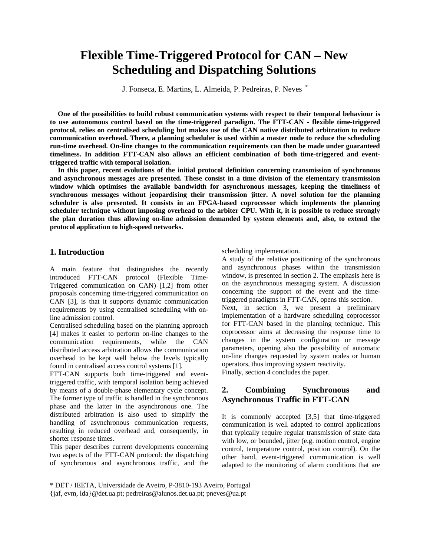# **Flexible Time-Triggered Protocol for CAN – New Scheduling and Dispatching Solutions**

J. Fonseca, E. Martins, L. Almeida, P. Pedreiras, P. Neves \*

**One of the possibilities to build robust communication systems with respect to their temporal behaviour is to use autonomous control based on the time-triggered paradigm. The FTT-CAN - flexible time-triggered protocol, relies on centralised scheduling but makes use of the CAN native distributed arbitration to reduce communication overhead. There, a planning scheduler is used within a master node to reduce the scheduling run-time overhead. On-line changes to the communication requirements can then be made under guaranteed timeliness. In addition FTT-CAN also allows an efficient combination of both time-triggered and eventtriggered traffic with temporal isolation.**

**In this paper, recent evolutions of the initial protocol definition concerning transmission of synchronous and asynchronous messages are presented. These consist in a time division of the elementary transmission window which optimises the available bandwidth for asynchronous messages, keeping the timeliness of synchronous messages without jeopardising their transmission jitter. A novel solution for the planning scheduler is also presented. It consists in an FPGA-based coprocessor which implements the planning scheduler technique without imposing overhead to the arbiter CPU. With it, it is possible to reduce strongly the plan duration thus allowing on-line admission demanded by system elements and, also, to extend the protocol application to high-speed networks.**

# **1. Introduction**

l

A main feature that distinguishes the recently introduced FTT-CAN protocol (Flexible Time-Triggered communication on CAN) [1,2] from other proposals concerning time-triggered communication on CAN [3], is that it supports dynamic communication requirements by using centralised scheduling with online admission control.

Centralised scheduling based on the planning approach [4] makes it easier to perform on-line changes to the communication requirements, while the CAN distributed access arbitration allows the communication overhead to be kept well below the levels typically found in centralised access control systems [1].

FTT-CAN supports both time-triggered and eventtriggered traffic, with temporal isolation being achieved by means of a double-phase elementary cycle concept. The former type of traffic is handled in the synchronous phase and the latter in the asynchronous one. The distributed arbitration is also used to simplify the handling of asynchronous communication requests, resulting in reduced overhead and, consequently, in shorter response times.

This paper describes current developments concerning two aspects of the FTT-CAN protocol: the dispatching of synchronous and asynchronous traffic, and the scheduling implementation.

A study of the relative positioning of the synchronous and asynchronous phases within the transmission window, is presented in section 2. The emphasis here is on the asynchronous messaging system. A discussion concerning the support of the event and the timetriggered paradigms in FTT-CAN, opens this section. Next, in section 3, we present a preliminary implementation of a hardware scheduling coprocessor for FTT-CAN based in the planning technique. This coprocessor aims at decreasing the response time to changes in the system configuration or message parameters, opening also the possibility of automatic on-line changes requested by system nodes or human operators, thus improving system reactivity.

Finally, section 4 concludes the paper.

# **2. Combining Synchronous and Asynchronous Traffic in FTT-CAN**

It is commonly accepted [3,5] that time-triggered communication is well adapted to control applications that typically require regular transmission of state data with low, or bounded, jitter (e.g. motion control, engine control, temperature control, position control). On the other hand, event-triggered communication is well adapted to the monitoring of alarm conditions that are

<sup>\*</sup> DET / IEETA, Universidade de Aveiro, P-3810-193 Aveiro, Portugal

<sup>{</sup>jaf, evm, lda}@det.ua.pt; pedreiras@alunos.det.ua.pt; pneves@ua.pt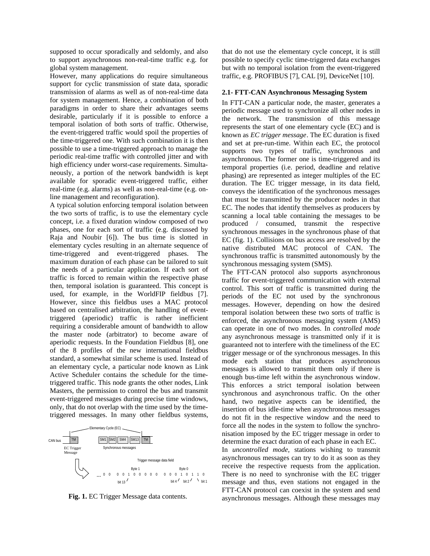supposed to occur sporadically and seldomly, and also to support asynchronous non-real-time traffic e.g. for global system management.

However, many applications do require simultaneous support for cyclic transmission of state data, sporadic transmission of alarms as well as of non-real-time data for system management. Hence, a combination of both paradigms in order to share their advantages seems desirable, particularly if it is possible to enforce a temporal isolation of both sorts of traffic. Otherwise, the event-triggered traffic would spoil the properties of the time-triggered one. With such combination it is then possible to use a time-triggered approach to manage the periodic real-time traffic with controlled jitter and with high efficiency under worst-case requirements. Simultaneously, a portion of the network bandwidth is kept available for sporadic event-triggered traffic, either real-time (e.g. alarms) as well as non-real-time (e.g. online management and reconfiguration).

A typical solution enforcing temporal isolation between the two sorts of traffic, is to use the elementary cycle concept, i.e. a fixed duration window composed of two phases, one for each sort of traffic (e.g. discussed by Raja and Noubir [6]). The bus time is slotted in elementary cycles resulting in an alternate sequence of time-triggered and event-triggered phases. The maximum duration of each phase can be tailored to suit the needs of a particular application. If each sort of traffic is forced to remain within the respective phase then, temporal isolation is guaranteed. This concept is used, for example, in the WorldFIP fieldbus [7]. However, since this fieldbus uses a MAC protocol based on centralised arbitration, the handling of eventtriggered (aperiodic) traffic is rather inefficient requiring a considerable amount of bandwidth to allow the master node (arbitrator) to become aware of aperiodic requests. In the Foundation Fieldbus [8], one of the 8 profiles of the new international fieldbus standard, a somewhat similar scheme is used. Instead of an elementary cycle, a particular node known as Link Active Scheduler contains the schedule for the timetriggered traffic. This node grants the other nodes, Link Masters, the permission to control the bus and transmit event-triggered messages during precise time windows, only, that do not overlap with the time used by the timetriggered messages. In many other fieldbus systems,



**Fig. 1.** EC Trigger Message data contents.

that do not use the elementary cycle concept, it is still possible to specify cyclic time-triggered data exchanges but with no temporal isolation from the event-triggered traffic, e.g. PROFIBUS [7], CAL [9], DeviceNet [10].

#### **2.1- FTT-CAN Asynchronous Messaging System**

In FTT-CAN a particular node, the master, generates a periodic message used to synchronize all other nodes in the network. The transmission of this message represents the start of one elementary cycle (EC) and is known as *EC trigger message*. The EC duration is fixed and set at pre-run-time. Within each EC, the protocol supports two types of traffic, synchronous and asynchronous. The former one is time-triggered and its temporal properties (i.e. period, deadline and relative phasing) are represented as integer multiples of the EC duration. The EC trigger message, in its data field, conveys the identification of the synchronous messages that must be transmitted by the producer nodes in that EC. The nodes that identify themselves as producers by scanning a local table containing the messages to be produced / consumed, transmit the respective synchronous messages in the synchronous phase of that EC (fig. 1). Collisions on bus access are resolved by the native distributed MAC protocol of CAN. The synchronous traffic is transmitted autonomously by the synchronous messaging system (SMS).

The FTT-CAN protocol also supports asynchronous traffic for event-triggered communication with external control. This sort of traffic is transmitted during the periods of the EC not used by the synchronous messages. However, depending on how the desired temporal isolation between these two sorts of traffic is enforced, the asynchronous messaging system (AMS) can operate in one of two modes. In *controlled mode* any asynchronous message is transmitted only if it is guaranteed not to interfere with the timeliness of the EC trigger message or of the synchronous messages. In this mode each station that produces asynchronous messages is allowed to transmit them only if there is enough bus-time left within the asynchronous window. This enforces a strict temporal isolation between synchronous and asynchronous traffic. On the other hand, two negative aspects can be identified, the insertion of bus idle-time when asynchronous messages do not fit in the respective window and the need to force all the nodes in the system to follow the synchronisation imposed by the EC trigger message in order to determine the exact duration of each phase in each EC.

In *uncontrolled mode,* stations wishing to transmit asynchronous messages can try to do it as soon as they receive the respective requests from the application. There is no need to synchronise with the EC trigger message and thus, even stations not engaged in the FTT-CAN protocol can coexist in the system and send asynchronous messages. Although these messages may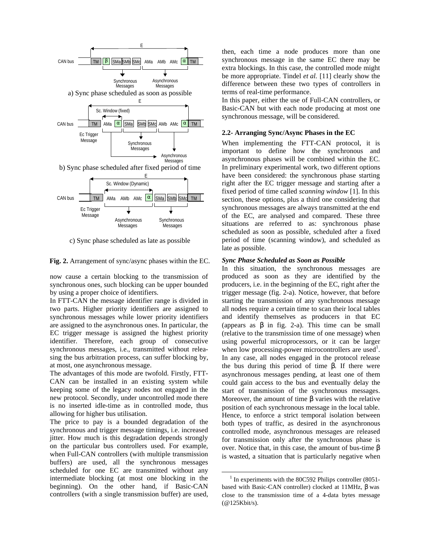

c) Sync phase scheduled as late as possible

**Fig. 2.** Arrangement of sync/async phases within the EC.

now cause a certain blocking to the transmission of synchronous ones, such blocking can be upper bounded by using a proper choice of identifiers.

In FTT-CAN the message identifier range is divided in two parts. Higher priority identifiers are assigned to synchronous messages while lower priority identifiers are assigned to the asynchronous ones. In particular, the EC trigger message is assigned the highest priority identifier. Therefore, each group of consecutive synchronous messages, i.e., transmitted without releasing the bus arbitration process, can suffer blocking by, at most, one asynchronous message.

The advantages of this mode are twofold. Firstly, FTT-CAN can be installed in an existing system while keeping some of the legacy nodes not engaged in the new protocol. Secondly, under uncontrolled mode there is no inserted idle-time as in controlled mode, thus allowing for higher bus utilisation.

The price to pay is a bounded degradation of the synchronous and trigger message timings, i.e. increased jitter. How much is this degradation depends strongly on the particular bus controllers used. For example, when Full-CAN controllers (with multiple transmission buffers) are used, all the synchronous messages scheduled for one EC are transmitted without any intermediate blocking (at most one blocking in the beginning). On the other hand, if Basic-CAN controllers (with a single transmission buffer) are used,

then, each time a node produces more than one synchronous message in the same EC there may be extra blockings. In this case, the controlled mode might be more appropriate. Tindel *et al.* [11] clearly show the difference between these two types of controllers in terms of real-time performance.

In this paper, either the use of Full-CAN controllers, or Basic-CAN but with each node producing at most one synchronous message, will be considered.

#### **2.2- Arranging Sync/Async Phases in the EC**

When implementing the FTT-CAN protocol, it is important to define how the synchronous and asynchronous phases will be combined within the EC. In preliminary experimental work, two different options have been considered: the synchronous phase starting right after the EC trigger message and starting after a fixed period of time called *scanning window* [1]. In this section, these options, plus a third one considering that synchronous messages are always transmitted at the end of the EC, are analysed and compared. These three situations are referred to as: synchronous phase scheduled as soon as possible, scheduled after a fixed period of time (scanning window), and scheduled as late as possible.

#### *Sync Phase Scheduled as Soon as Possible*

In this situation, the synchronous messages are produced as soon as they are identified by the producers, i.e. in the beginning of the EC, right after the trigger message (fig. 2-a). Notice, however, that before starting the transmission of any synchronous message all nodes require a certain time to scan their local tables and identify themselves as producers in that EC (appears as in fig. 2-a). This time can be small (relative to the transmission time of one message) when using powerful microprocessors, or it can be larger when low processing-power microcontrollers are used<sup>1</sup>. In any case, all nodes engaged in the protocol release the bus during this period of time . If there were asynchronous messages pending, at least one of them could gain access to the bus and eventually delay the start of transmission of the synchronous messages. Moreover, the amount of time varies with the relative position of each synchronous message in the local table. Hence, to enforce a strict temporal isolation between both types of traffic, as desired in the asynchronous controlled mode, asynchronous messages are released for transmission only after the synchronous phase is over. Notice that, in this case, the amount of bus-time is wasted, a situation that is particularly negative when

 $\overline{a}$ 

<sup>1</sup> In experiments with the 80C592 Philips controller (8051 based with Basic-CAN controller) clocked at 11MHz, was close to the transmission time of a 4-data bytes message (@125Kbit/s).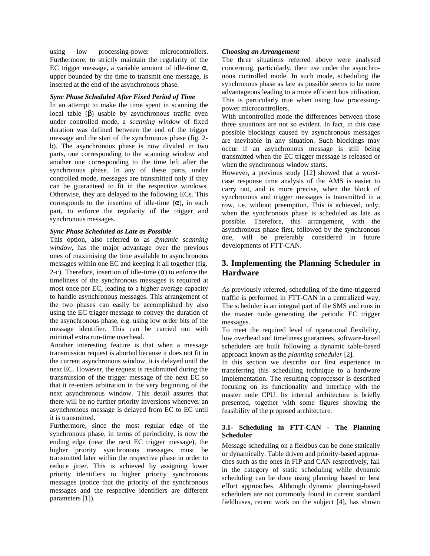using low processing-power microcontrollers. Furthermore, to strictly maintain the regularity of the EC trigger message, a variable amount of idle-time , upper bounded by the time to transmit one message, is inserted at the end of the asynchronous phase.

# *Sync Phase Scheduled After Fixed Period of Time*

In an attempt to make the time spent in scanning the local table ( ) usable by asynchronous traffic even under controlled mode, a *scanning window* of fixed duration was defined between the end of the trigger message and the start of the synchronous phase (fig. 2 b). The asynchronous phase is now divided in two parts, one corresponding to the scanning window and another one corresponding to the time left after the synchronous phase. In any of these parts, under controlled mode, messages are transmitted only if they can be guaranteed to fit in the respective windows. Otherwise, they are delayed to the following ECs. This corresponds to the insertion of idle-time ( ), in each part, to enforce the regularity of the trigger and synchronous messages.

# *Sync Phase Scheduled as Late as Possible*

This option, also referred to as *dynamic scanning window*, has the major advantage over the previous ones of maximising the time available to asynchronous messages within one EC and keeping it all together (fig. 2-c). Therefore, insertion of idle-time ( ) to enforce the timeliness of the synchronous messages is required at most once per EC, leading to a higher average capacity to handle asynchronous messages. This arrangement of the two phases can easily be accomplished by also using the EC trigger message to convey the duration of the asynchronous phase, e.g. using low order bits of the message identifier. This can be carried out with minimal extra run-time overhead.

Another interesting feature is that when a message transmission request is aborted because it does not fit in the current asynchronous window, it is delayed until the next EC. However, the request is resubmitted during the transmission of the trigger message of the next EC so that it re-enters arbitration in the very beginning of the next asynchronous window. This detail assures that there will be no further priority inversions whenever an asynchronous message is delayed from EC to EC until it is transmitted.

Furthermore, since the most regular edge of the synchronous phase, in terms of periodicity, is now the ending edge (near the next EC trigger message), the higher priority synchronous messages must be transmitted later within the respective phase in order to reduce jitter. This is achieved by assigning lower priority identifiers to higher priority synchronous messages (notice that the priority of the synchronous messages and the respective identifiers are different parameters [1]).

## *Choosing an Arrangement*

The three situations referred above were analysed concerning, particularly, their use under the asynchronous controlled mode. In such mode, scheduling the synchronous phase as late as possible seems to be more advantageous leading to a more efficient bus utilisation. This is particularly true when using low processingpower microcontrollers.

With uncontrolled mode the differences between those three situations are not so evident. In fact, in this case possible blockings caused by asynchronous messages are inevitable in any situation. Such blockings may occur if an asynchronous message is still being transmitted when the EC trigger message is released or when the synchronous window starts.

However, a previous study [12] showed that a worstcase response time analysis of the AMS is easier to carry out, and is more precise, when the block of synchronous and trigger messages is transmitted in a row, i.e. without preemption. This is achieved, only, when the synchronous phase is scheduled as late as possible. Therefore, this arrangement, with the asynchronous phase first, followed by the synchronous one, will be preferably considered in future developments of FTT-CAN.

# **3. Implementing the Planning Scheduler in Hardware**

As previously referred, scheduling of the time-triggered traffic is performed in FTT-CAN in a centralized way. The scheduler is an integral part of the SMS and runs in the master node generating the periodic EC trigger messages.

To meet the required level of operational flexibility, low overhead and timeliness guarantees, software-based schedulers are built following a dynamic table-based approach known as the *planning scheduler* [2].

In this section we describe our first experience in transferring this scheduling technique to a hardware implementation. The resulting coprocessor is described focusing on its functionality and interface with the master node CPU. Its internal architecture is briefly presented, together with some figures showing the feasibility of the proposed architecture.

# **3.1- Scheduling in FTT-CAN - The Planning Scheduler**

Message scheduling on a fieldbus can be done statically or dynamically. Table driven and priority-based approaches such as the ones in FIP and CAN respectively, fall in the category of static scheduling while dynamic scheduling can be done using planning based or best effort approaches. Although dynamic planning-based schedulers are not commonly found in current standard fieldbuses, recent work on the subject [4], has shown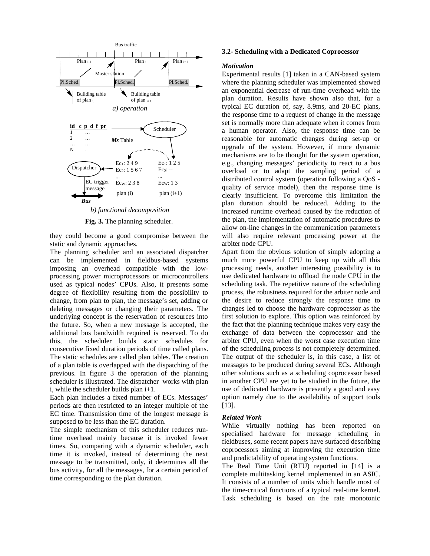

**Fig. 3.** The planning scheduler.

they could become a good compromise between the static and dynamic approaches.

The planning scheduler and an associated dispatcher can be implemented in fieldbus-based systems imposing an overhead compatible with the lowprocessing power microprocessors or microcontrollers used as typical nodes' CPUs. Also, it presents some degree of flexibility resulting from the possibility to change, from plan to plan, the message's set, adding or deleting messages or changing their parameters. The underlying concept is the reservation of resources into the future. So, when a new message is accepted, the additional bus bandwidth required is reserved. To do this, the scheduler builds static schedules for consecutive fixed duration periods of time called plans. The static schedules are called plan tables. The creation of a plan table is overlapped with the dispatching of the previous. In figure 3 the operation of the planning scheduler is illustrated. The dispatcher works with plan i, while the scheduler builds plan i+1.

Each plan includes a fixed number of ECs. Messages' periods are then restricted to an integer multiple of the EC time. Transmission time of the longest message is supposed to be less than the EC duration.

The simple mechanism of this scheduler reduces runtime overhead mainly because it is invoked fewer times. So, comparing with a dynamic scheduler, each time it is invoked, instead of determining the next message to be transmitted, only, it determines all the bus activity, for all the messages, for a certain period of time corresponding to the plan duration.

#### **3.2- Scheduling with a Dedicated Coprocessor**

#### *Motivation*

Experimental results [1] taken in a CAN-based system where the planning scheduler was implemented showed an exponential decrease of run-time overhead with the plan duration. Results have shown also that, for a typical EC duration of, say, 8.9ms, and 20-EC plans, the response time to a request of change in the message set is normally more than adequate when it comes from a human operator. Also, the response time can be reasonable for automatic changes during set-up or upgrade of the system. However, if more dynamic mechanisms are to be thought for the system operation, e.g., changing messages' periodicity to react to a bus overload or to adapt the sampling period of a distributed control system (operation following a QoS quality of service model), then the response time is clearly insufficient. To overcome this limitation the plan duration should be reduced. Adding to the increased runtime overhead caused by the reduction of the plan, the implementation of automatic procedures to allow on-line changes in the communication parameters will also require relevant processing power at the arbiter node CPU.

Apart from the obvious solution of simply adopting a much more powerful CPU to keep up with all this processing needs, another interesting possibility is to use dedicated hardware to offload the node CPU in the scheduling task. The repetitive nature of the scheduling process, the robustness required for the arbiter node and the desire to reduce strongly the response time to changes led to choose the hardware coprocessor as the first solution to explore. This option was reinforced by the fact that the planning technique makes very easy the exchange of data between the coprocessor and the arbiter CPU, even when the worst case execution time of the scheduling process is not completely determined. The output of the scheduler is, in this case, a list of messages to be produced during several ECs. Although other solutions such as a scheduling coprocessor based in another CPU are yet to be studied in the future, the use of dedicated hardware is presently a good and easy option namely due to the availability of support tools [13].

## *Related Work*

While virtually nothing has been reported on specialised hardware for message scheduling in fieldbuses, some recent papers have surfaced describing coprocessors aiming at improving the execution time and predictability of operating system functions.

The Real Time Unit (RTU) reported in [14] is a complete multitasking kernel implemented in an ASIC. It consists of a number of units which handle most of the time-critical functions of a typical real-time kernel. Task scheduling is based on the rate monotonic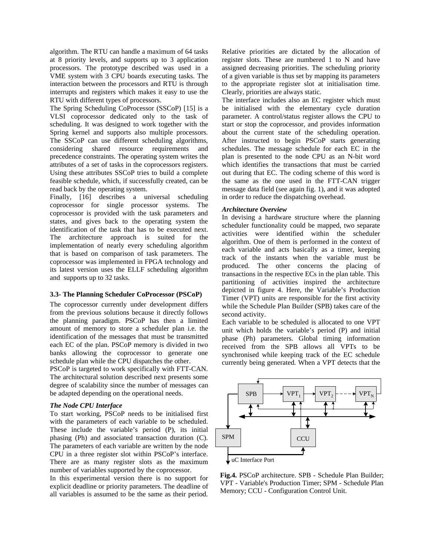algorithm. The RTU can handle a maximum of 64 tasks at 8 priority levels, and supports up to 3 application processors. The prototype described was used in a VME system with 3 CPU boards executing tasks. The interaction between the processors and RTU is through interrupts and registers which makes it easy to use the RTU with different types of processors.

The Spring Scheduling CoProcessor (SSCoP) [15] is a VLSI coprocessor dedicated only to the task of scheduling. It was designed to work together with the Spring kernel and supports also multiple processors. The SSCoP can use different scheduling algorithms, considering shared resource requirements and precedence constraints. The operating system writes the attributes of a set of tasks in the coprocessors registers. Using these attributes SSCoP tries to build a complete feasible schedule, which, if successfully created, can be read back by the operating system.

Finally, [16] describes a universal scheduling coprocessor for single processor systems. The coprocessor is provided with the task parameters and states, and gives back to the operating system the identification of the task that has to be executed next. The architecture approach is suited for the implementation of nearly every scheduling algorithm that is based on comparison of task parameters. The coprocessor was implemented in FPGA technology and its latest version uses the ELLF scheduling algorithm and supports up to 32 tasks.

## **3.3- The Planning Scheduler CoProcessor (PSCoP)**

The coprocessor currently under development differs from the previous solutions because it directly follows the planning paradigm. PSCoP has then a limited amount of memory to store a scheduler plan i.e. the identification of the messages that must be transmitted each EC of the plan. PSCoP memory is divided in two banks allowing the coprocessor to generate one schedule plan while the CPU dispatches the other.

PSCoP is targeted to work specifically with FTT-CAN. The architectural solution described next presents some degree of scalability since the number of messages can be adapted depending on the operational needs.

## *The Node CPU Interface*

To start working, PSCoP needs to be initialised first with the parameters of each variable to be scheduled. These include the variable's period (P), its initial phasing (Ph) and associated transaction duration (C). The parameters of each variable are written by the node CPU in a three register slot within PSCoP's interface. There are as many register slots as the maximum number of variables supported by the coprocessor.

In this experimental version there is no support for explicit deadline or priority parameters. The deadline of all variables is assumed to be the same as their period.

Relative priorities are dictated by the allocation of register slots. These are numbered 1 to N and have assigned decreasing priorities. The scheduling priority of a given variable is thus set by mapping its parameters to the appropriate register slot at initialisation time. Clearly, priorities are always static.

The interface includes also an EC register which must be initialised with the elementary cycle duration parameter. A control/status register allows the CPU to start or stop the coprocessor, and provides information about the current state of the scheduling operation. After instructed to begin PSCoP starts generating schedules. The message schedule for each EC in the plan is presented to the node CPU as an N-bit word which identifies the transactions that must be carried out during that EC. The coding scheme of this word is the same as the one used in the FTT-CAN trigger message data field (see again fig. 1), and it was adopted in order to reduce the dispatching overhead.

#### *Architecture Overview*

In devising a hardware structure where the planning scheduler functionality could be mapped, two separate activities were identified within the scheduler algorithm. One of them is performed in the context of each variable and acts basically as a timer, keeping track of the instants when the variable must be produced. The other concerns the placing of transactions in the respective ECs in the plan table. This partitioning of activities inspired the architecture depicted in figure 4. Here, the Variable's Production Timer (VPT) units are responsible for the first activity while the Schedule Plan Builder (SPB) takes care of the second activity.

Each variable to be scheduled is allocated to one VPT unit which holds the variable's period (P) and initial phase (Ph) parameters. Global timing information received from the SPB allows all VPTs to be synchronised while keeping track of the EC schedule currently being generated. When a VPT detects that the



**Fig.4.** PSCoP architecture. SPB - Schedule Plan Builder; VPT - Variable's Production Timer; SPM - Schedule Plan Memory; CCU - Configuration Control Unit.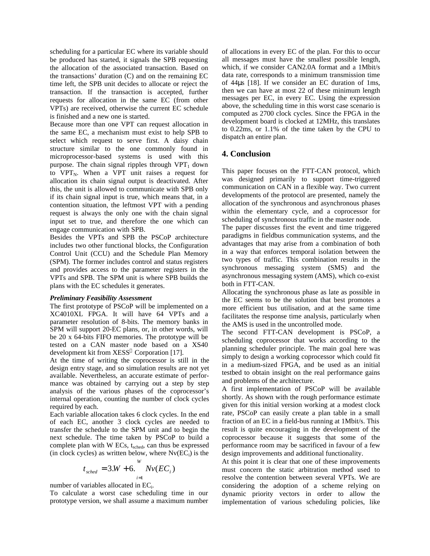scheduling for a particular EC where its variable should be produced has started, it signals the SPB requesting the allocation of the associated transaction. Based on the transactions' duration  $(C)$  and on the remaining  $EC$ time left, the SPB unit decides to allocate or reject the transaction. If the transaction is accepted, further requests for allocation in the same EC (from other VPTs) are received, otherwise the current EC schedule is finished and a new one is started.

Because more than one VPT can request allocation in the same EC, a mechanism must exist to help SPB to select which request to serve first. A daisy chain structure similar to the one commonly found in microprocessor-based systems is used with this purpose. The chain signal ripples through  $VPT_1$  down to  $VPT_{N}$ . When a VPT unit raises a request for allocation its chain signal output is deactivated. After this, the unit is allowed to communicate with SPB only if its chain signal input is true, which means that, in a contention situation, the leftmost VPT with a pending request is always the only one with the chain signal input set to true, and therefore the one which can engage communication with SPB.

Besides the VPTs and SPB the PSCoP architecture includes two other functional blocks, the Configuration Control Unit (CCU) and the Schedule Plan Memory (SPM). The former includes control and status registers and provides access to the parameter registers in the VPTs and SPB. The SPM unit is where SPB builds the plans with the EC schedules it generates.

#### *Preliminary Feasibility Assessment*

The first prototype of PSCoP will be implemented on a XC4010XL FPGA. It will have 64 VPTs and a parameter resolution of 8-bits. The memory banks in SPM will support 20-EC plans, or, in other words, will be 20 x 64-bits FIFO memories. The prototype will be tested on a CAN master node based on a XS40 development kit from XESS Corporation [17].

At the time of writing the coprocessor is still in the design entry stage, and so simulation results are not yet available. Nevertheless, an accurate estimate of performance was obtained by carrying out a step by step analysis of the various phases of the coprocessor's internal operation, counting the number of clock cycles required by each.

Each variable allocation takes 6 clock cycles. In the end of each EC, another 3 clock cycles are needed to transfer the schedule to the SPM unit and to begin the next schedule. The time taken by PSCoP to build a complete plan with W ECs, tsched, can thus be expressed (in clock cycles) as written below, where  $Nv(EC_i)$  is the

$$
t_{\text{sched}} = 3.W + 6. \bigwedge_{i=1}^{W} Nv(EC_i)
$$

number of variables allocated in EC<sub>i</sub>.

To calculate a worst case scheduling time in our prototype version, we shall assume a maximum number of allocations in every EC of the plan. For this to occur all messages must have the smallest possible length, which, if we consider CAN2.0A format and a 1Mbit/s data rate, corresponds to a minimum transmission time of 44μs [18]. If we consider an EC duration of 1ms, then we can have at most 22 of these minimum length messages per EC, in every EC. Using the expression above, the scheduling time in this worst case scenario is computed as 2700 clock cycles. Since the FPGA in the development board is clocked at 12MHz, this translates to 0.22ms, or 1.1% of the time taken by the CPU to dispatch an entire plan.

# **4. Conclusion**

This paper focuses on the FTT-CAN protocol, which was designed primarily to support time-triggered communication on CAN in a flexible way. Two current developments of the protocol are presented, namely the allocation of the synchronous and asynchronous phases within the elementary cycle, and a coprocessor for scheduling of synchronous traffic in the master node.

The paper discusses first the event and time triggered paradigms in fieldbus communication systems, and the advantages that may arise from a combination of both in a way that enforces temporal isolation between the two types of traffic. This combination results in the synchronous messaging system (SMS) and the asynchronous messaging system (AMS), which co-exist both in FTT-CAN.

Allocating the synchronous phase as late as possible in the EC seems to be the solution that best promotes a more efficient bus utilisation, and at the same time facilitates the response time analysis, particularly when the AMS is used in the uncontrolled mode.

The second FTT-CAN development is PSCoP, a scheduling coprocessor that works according to the planning scheduler principle. The main goal here was simply to design a working coprocessor which could fit in a medium-sized FPGA, and be used as an initial testbed to obtain insight on the real performance gains and problems of the architecture.

A first implementation of PSCoP will be available shortly. As shown with the rough performance estimate given for this initial version working at a modest clock rate, PSCoP can easily create a plan table in a small fraction of an EC in a field-bus running at 1Mbit/s. This result is quite encouraging in the development of the coprocessor because it suggests that some of the performance room may be sacrificed in favour of a few design improvements and additional functionality.

At this point it is clear that one of these improvements must concern the static arbitration method used to resolve the contention between several VPTs. We are considering the adoption of a scheme relying on dynamic priority vectors in order to allow the implementation of various scheduling policies, like